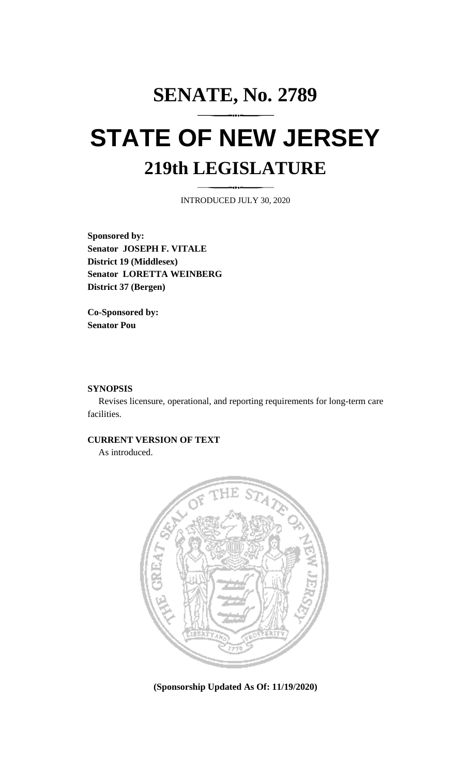# **SENATE, No. 2789 STATE OF NEW JERSEY 219th LEGISLATURE**

INTRODUCED JULY 30, 2020

**Sponsored by: Senator JOSEPH F. VITALE District 19 (Middlesex) Senator LORETTA WEINBERG District 37 (Bergen)**

**Co-Sponsored by: Senator Pou**

## **SYNOPSIS**

Revises licensure, operational, and reporting requirements for long-term care facilities.

### **CURRENT VERSION OF TEXT**

As introduced.



**(Sponsorship Updated As Of: 11/19/2020)**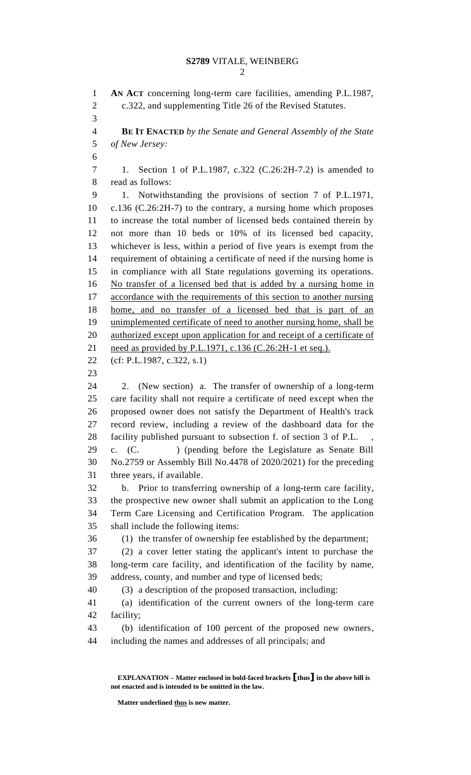**AN ACT** concerning long-term care facilities, amending P.L.1987, c.322, and supplementing Title 26 of the Revised Statutes. **BE IT ENACTED** *by the Senate and General Assembly of the State of New Jersey:* 1. Section 1 of P.L.1987, c.322 (C.26:2H-7.2) is amended to read as follows: 1. Notwithstanding the provisions of section 7 of P.L.1971, c.136 (C.26:2H-7) to the contrary, a nursing home which proposes to increase the total number of licensed beds contained therein by not more than 10 beds or 10% of its licensed bed capacity, whichever is less, within a period of five years is exempt from the requirement of obtaining a certificate of need if the nursing home is in compliance with all State regulations governing its operations. No transfer of a licensed bed that is added by a nursing home in accordance with the requirements of this section to another nursing home, and no transfer of a licensed bed that is part of an unimplemented certificate of need to another nursing home, shall be 20 authorized except upon application for and receipt of a certificate of 21 need as provided by P.L.1971, c.136 (C.26:2H-1 et seq.). (cf: P.L.1987, c.322, s.1) 2. (New section) a. The transfer of ownership of a long-term care facility shall not require a certificate of need except when the proposed owner does not satisfy the Department of Health's track record review, including a review of the dashboard data for the 28 facility published pursuant to subsection f. of section 3 of P.L. c. (C. ) (pending before the Legislature as Senate Bill No.2759 or Assembly Bill No.4478 of 2020/2021) for the preceding three years, if available. b. Prior to transferring ownership of a long-term care facility, the prospective new owner shall submit an application to the Long Term Care Licensing and Certification Program. The application shall include the following items: (1) the transfer of ownership fee established by the department; (2) a cover letter stating the applicant's intent to purchase the long-term care facility, and identification of the facility by name, address, county, and number and type of licensed beds; (3) a description of the proposed transaction, including: (a) identification of the current owners of the long-term care facility; (b) identification of 100 percent of the proposed new owners, including the names and addresses of all principals; and

**EXPLANATION – Matter enclosed in bold-faced brackets [thus] in the above bill is not enacted and is intended to be omitted in the law.**

**Matter underlined thus is new matter.**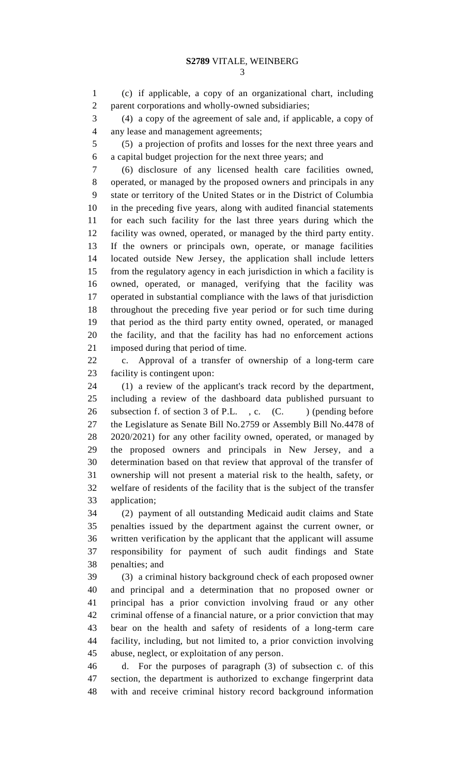(c) if applicable, a copy of an organizational chart, including parent corporations and wholly-owned subsidiaries;

 (4) a copy of the agreement of sale and, if applicable, a copy of any lease and management agreements;

 (5) a projection of profits and losses for the next three years and a capital budget projection for the next three years; and

 (6) disclosure of any licensed health care facilities owned, operated, or managed by the proposed owners and principals in any state or territory of the United States or in the District of Columbia in the preceding five years, along with audited financial statements for each such facility for the last three years during which the facility was owned, operated, or managed by the third party entity. If the owners or principals own, operate, or manage facilities located outside New Jersey, the application shall include letters from the regulatory agency in each jurisdiction in which a facility is owned, operated, or managed, verifying that the facility was operated in substantial compliance with the laws of that jurisdiction throughout the preceding five year period or for such time during that period as the third party entity owned, operated, or managed the facility, and that the facility has had no enforcement actions imposed during that period of time.

 c. Approval of a transfer of ownership of a long-term care facility is contingent upon:

 (1) a review of the applicant's track record by the department, including a review of the dashboard data published pursuant to 26 subsection f. of section 3 of P.L., c. (C. ) (pending before the Legislature as Senate Bill No.2759 or Assembly Bill No.4478 of 2020/2021) for any other facility owned, operated, or managed by the proposed owners and principals in New Jersey, and a determination based on that review that approval of the transfer of ownership will not present a material risk to the health, safety, or welfare of residents of the facility that is the subject of the transfer application;

 (2) payment of all outstanding Medicaid audit claims and State penalties issued by the department against the current owner, or written verification by the applicant that the applicant will assume responsibility for payment of such audit findings and State penalties; and

 (3) a criminal history background check of each proposed owner and principal and a determination that no proposed owner or principal has a prior conviction involving fraud or any other criminal offense of a financial nature, or a prior conviction that may bear on the health and safety of residents of a long-term care facility, including, but not limited to, a prior conviction involving abuse, neglect, or exploitation of any person.

 d. For the purposes of paragraph (3) of subsection c. of this section, the department is authorized to exchange fingerprint data with and receive criminal history record background information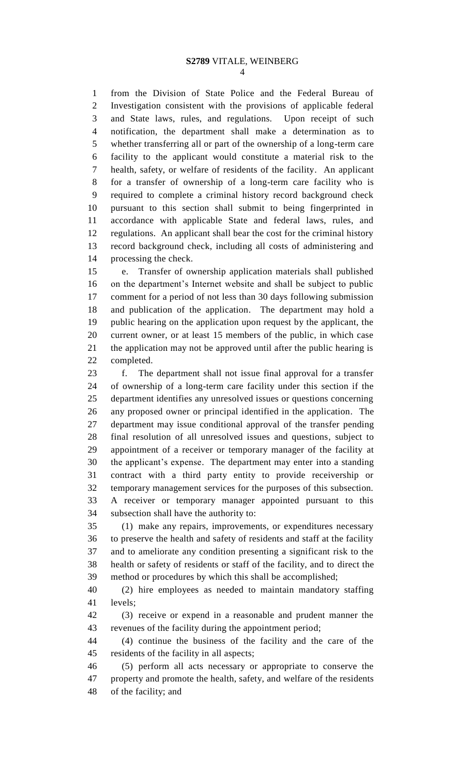from the Division of State Police and the Federal Bureau of Investigation consistent with the provisions of applicable federal and State laws, rules, and regulations. Upon receipt of such notification, the department shall make a determination as to whether transferring all or part of the ownership of a long-term care facility to the applicant would constitute a material risk to the health, safety, or welfare of residents of the facility. An applicant for a transfer of ownership of a long-term care facility who is required to complete a criminal history record background check pursuant to this section shall submit to being fingerprinted in accordance with applicable State and federal laws, rules, and regulations. An applicant shall bear the cost for the criminal history record background check, including all costs of administering and processing the check.

 e. Transfer of ownership application materials shall published on the department's Internet website and shall be subject to public comment for a period of not less than 30 days following submission and publication of the application. The department may hold a public hearing on the application upon request by the applicant, the current owner, or at least 15 members of the public, in which case the application may not be approved until after the public hearing is completed.

 f. The department shall not issue final approval for a transfer of ownership of a long-term care facility under this section if the department identifies any unresolved issues or questions concerning any proposed owner or principal identified in the application. The department may issue conditional approval of the transfer pending final resolution of all unresolved issues and questions, subject to appointment of a receiver or temporary manager of the facility at the applicant's expense. The department may enter into a standing contract with a third party entity to provide receivership or temporary management services for the purposes of this subsection. A receiver or temporary manager appointed pursuant to this subsection shall have the authority to:

 (1) make any repairs, improvements, or expenditures necessary to preserve the health and safety of residents and staff at the facility and to ameliorate any condition presenting a significant risk to the health or safety of residents or staff of the facility, and to direct the method or procedures by which this shall be accomplished;

 (2) hire employees as needed to maintain mandatory staffing levels;

 (3) receive or expend in a reasonable and prudent manner the revenues of the facility during the appointment period;

 (4) continue the business of the facility and the care of the residents of the facility in all aspects;

 (5) perform all acts necessary or appropriate to conserve the property and promote the health, safety, and welfare of the residents of the facility; and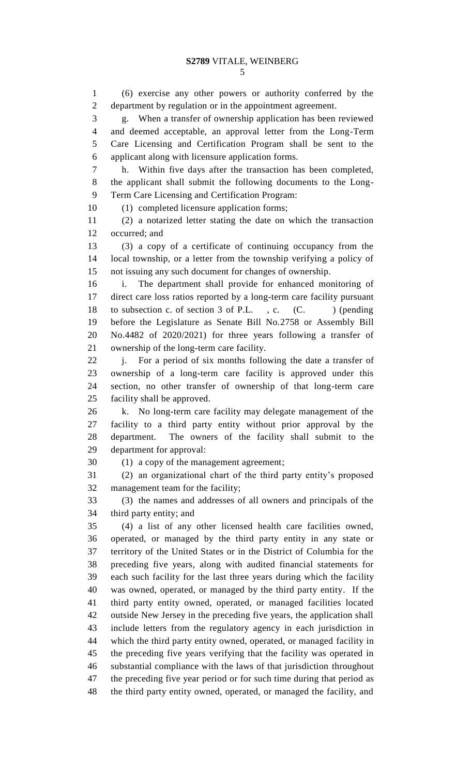(6) exercise any other powers or authority conferred by the department by regulation or in the appointment agreement. g. When a transfer of ownership application has been reviewed and deemed acceptable, an approval letter from the Long-Term Care Licensing and Certification Program shall be sent to the applicant along with licensure application forms. h. Within five days after the transaction has been completed, the applicant shall submit the following documents to the Long- Term Care Licensing and Certification Program: (1) completed licensure application forms; (2) a notarized letter stating the date on which the transaction occurred; and (3) a copy of a certificate of continuing occupancy from the local township, or a letter from the township verifying a policy of not issuing any such document for changes of ownership. i. The department shall provide for enhanced monitoring of direct care loss ratios reported by a long-term care facility pursuant 18 to subsection c. of section 3 of P.L., c. (C.) (pending before the Legislature as Senate Bill No.2758 or Assembly Bill No.4482 of 2020/2021) for three years following a transfer of ownership of the long-term care facility. j. For a period of six months following the date a transfer of ownership of a long-term care facility is approved under this section, no other transfer of ownership of that long-term care facility shall be approved. k. No long-term care facility may delegate management of the facility to a third party entity without prior approval by the department. The owners of the facility shall submit to the department for approval: (1) a copy of the management agreement; (2) an organizational chart of the third party entity's proposed management team for the facility; (3) the names and addresses of all owners and principals of the third party entity; and (4) a list of any other licensed health care facilities owned, operated, or managed by the third party entity in any state or territory of the United States or in the District of Columbia for the preceding five years, along with audited financial statements for each such facility for the last three years during which the facility was owned, operated, or managed by the third party entity. If the third party entity owned, operated, or managed facilities located outside New Jersey in the preceding five years, the application shall include letters from the regulatory agency in each jurisdiction in which the third party entity owned, operated, or managed facility in the preceding five years verifying that the facility was operated in substantial compliance with the laws of that jurisdiction throughout the preceding five year period or for such time during that period as the third party entity owned, operated, or managed the facility, and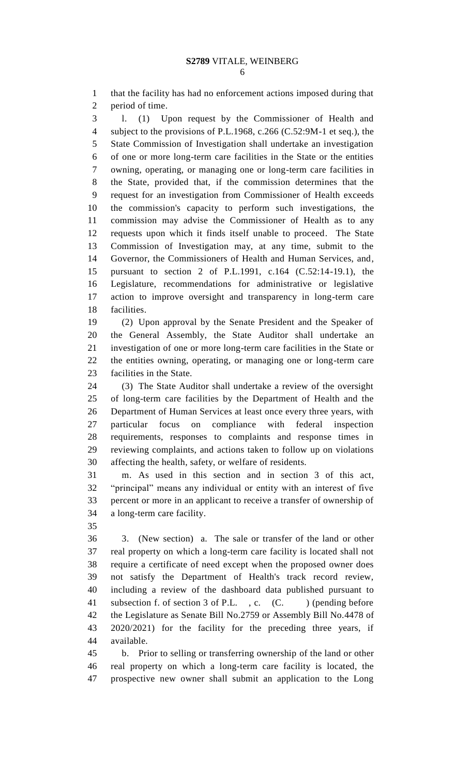that the facility has had no enforcement actions imposed during that period of time.

 l. (1) Upon request by the Commissioner of Health and subject to the provisions of P.L.1968, c.266 (C.52:9M-1 et seq.), the State Commission of Investigation shall undertake an investigation of one or more long-term care facilities in the State or the entities owning, operating, or managing one or long-term care facilities in the State, provided that, if the commission determines that the request for an investigation from Commissioner of Health exceeds the commission's capacity to perform such investigations, the commission may advise the Commissioner of Health as to any requests upon which it finds itself unable to proceed. The State Commission of Investigation may, at any time, submit to the Governor, the Commissioners of Health and Human Services, and, pursuant to section 2 of P.L.1991, c.164 (C.52:14-19.1), the Legislature, recommendations for administrative or legislative action to improve oversight and transparency in long-term care facilities.

 (2) Upon approval by the Senate President and the Speaker of the General Assembly, the State Auditor shall undertake an investigation of one or more long-term care facilities in the State or the entities owning, operating, or managing one or long-term care facilities in the State.

 (3) The State Auditor shall undertake a review of the oversight of long-term care facilities by the Department of Health and the Department of Human Services at least once every three years, with particular focus on compliance with federal inspection requirements, responses to complaints and response times in reviewing complaints, and actions taken to follow up on violations affecting the health, safety, or welfare of residents.

 m. As used in this section and in section 3 of this act, "principal" means any individual or entity with an interest of five percent or more in an applicant to receive a transfer of ownership of a long-term care facility.

 3. (New section) a. The sale or transfer of the land or other real property on which a long-term care facility is located shall not require a certificate of need except when the proposed owner does not satisfy the Department of Health's track record review, including a review of the dashboard data published pursuant to 41 subsection f. of section 3 of P.L., c. (C. ) (pending before the Legislature as Senate Bill No.2759 or Assembly Bill No.4478 of 2020/2021) for the facility for the preceding three years, if available.

 b. Prior to selling or transferring ownership of the land or other real property on which a long-term care facility is located, the prospective new owner shall submit an application to the Long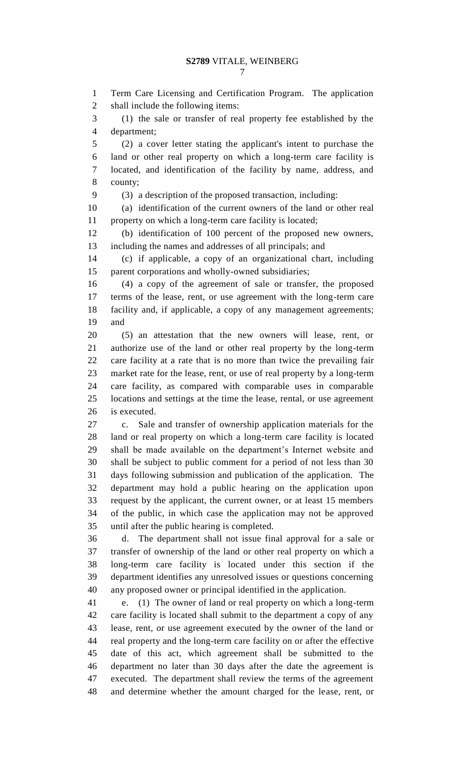Term Care Licensing and Certification Program. The application shall include the following items:

 (1) the sale or transfer of real property fee established by the department;

 (2) a cover letter stating the applicant's intent to purchase the land or other real property on which a long-term care facility is located, and identification of the facility by name, address, and county;

(3) a description of the proposed transaction, including:

 (a) identification of the current owners of the land or other real property on which a long-term care facility is located;

 (b) identification of 100 percent of the proposed new owners, including the names and addresses of all principals; and

 (c) if applicable, a copy of an organizational chart, including parent corporations and wholly-owned subsidiaries;

 (4) a copy of the agreement of sale or transfer, the proposed terms of the lease, rent, or use agreement with the long-term care facility and, if applicable, a copy of any management agreements; and

 (5) an attestation that the new owners will lease, rent, or authorize use of the land or other real property by the long-term care facility at a rate that is no more than twice the prevailing fair market rate for the lease, rent, or use of real property by a long-term care facility, as compared with comparable uses in comparable locations and settings at the time the lease, rental, or use agreement is executed.

 c. Sale and transfer of ownership application materials for the land or real property on which a long-term care facility is located shall be made available on the department's Internet website and shall be subject to public comment for a period of not less than 30 days following submission and publication of the application. The department may hold a public hearing on the application upon request by the applicant, the current owner, or at least 15 members of the public, in which case the application may not be approved until after the public hearing is completed.

 d. The department shall not issue final approval for a sale or transfer of ownership of the land or other real property on which a long-term care facility is located under this section if the department identifies any unresolved issues or questions concerning any proposed owner or principal identified in the application.

 e. (1) The owner of land or real property on which a long-term care facility is located shall submit to the department a copy of any lease, rent, or use agreement executed by the owner of the land or real property and the long-term care facility on or after the effective date of this act, which agreement shall be submitted to the department no later than 30 days after the date the agreement is executed. The department shall review the terms of the agreement and determine whether the amount charged for the lease, rent, or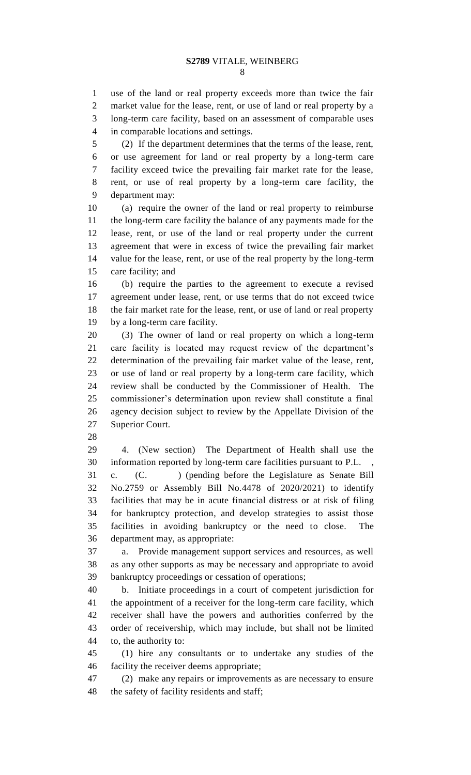use of the land or real property exceeds more than twice the fair market value for the lease, rent, or use of land or real property by a long-term care facility, based on an assessment of comparable uses in comparable locations and settings.

 (2) If the department determines that the terms of the lease, rent, or use agreement for land or real property by a long-term care facility exceed twice the prevailing fair market rate for the lease, rent, or use of real property by a long-term care facility, the department may:

 (a) require the owner of the land or real property to reimburse the long-term care facility the balance of any payments made for the lease, rent, or use of the land or real property under the current agreement that were in excess of twice the prevailing fair market value for the lease, rent, or use of the real property by the long-term care facility; and

 (b) require the parties to the agreement to execute a revised agreement under lease, rent, or use terms that do not exceed twice the fair market rate for the lease, rent, or use of land or real property by a long-term care facility.

 (3) The owner of land or real property on which a long-term care facility is located may request review of the department's determination of the prevailing fair market value of the lease, rent, or use of land or real property by a long-term care facility, which review shall be conducted by the Commissioner of Health. The commissioner's determination upon review shall constitute a final agency decision subject to review by the Appellate Division of the Superior Court.

 4. (New section) The Department of Health shall use the information reported by long-term care facilities pursuant to P.L. , c. (C. ) (pending before the Legislature as Senate Bill No.2759 or Assembly Bill No.4478 of 2020/2021) to identify facilities that may be in acute financial distress or at risk of filing for bankruptcy protection, and develop strategies to assist those facilities in avoiding bankruptcy or the need to close. The department may, as appropriate:

 a. Provide management support services and resources, as well as any other supports as may be necessary and appropriate to avoid bankruptcy proceedings or cessation of operations;

 b. Initiate proceedings in a court of competent jurisdiction for the appointment of a receiver for the long-term care facility, which receiver shall have the powers and authorities conferred by the order of receivership, which may include, but shall not be limited to, the authority to:

 (1) hire any consultants or to undertake any studies of the facility the receiver deems appropriate;

 (2) make any repairs or improvements as are necessary to ensure the safety of facility residents and staff;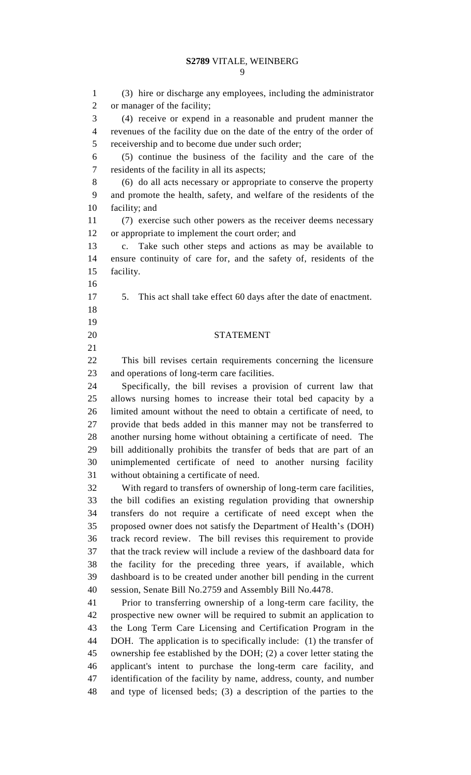(3) hire or discharge any employees, including the administrator or manager of the facility; (4) receive or expend in a reasonable and prudent manner the revenues of the facility due on the date of the entry of the order of receivership and to become due under such order; (5) continue the business of the facility and the care of the residents of the facility in all its aspects; (6) do all acts necessary or appropriate to conserve the property and promote the health, safety, and welfare of the residents of the facility; and (7) exercise such other powers as the receiver deems necessary or appropriate to implement the court order; and c. Take such other steps and actions as may be available to ensure continuity of care for, and the safety of, residents of the facility. 5. This act shall take effect 60 days after the date of enactment. STATEMENT This bill revises certain requirements concerning the licensure and operations of long-term care facilities. Specifically, the bill revises a provision of current law that allows nursing homes to increase their total bed capacity by a limited amount without the need to obtain a certificate of need, to provide that beds added in this manner may not be transferred to another nursing home without obtaining a certificate of need. The bill additionally prohibits the transfer of beds that are part of an unimplemented certificate of need to another nursing facility without obtaining a certificate of need. With regard to transfers of ownership of long-term care facilities, the bill codifies an existing regulation providing that ownership transfers do not require a certificate of need except when the proposed owner does not satisfy the Department of Health's (DOH) track record review. The bill revises this requirement to provide that the track review will include a review of the dashboard data for the facility for the preceding three years, if available, which dashboard is to be created under another bill pending in the current session, Senate Bill No.2759 and Assembly Bill No.4478. Prior to transferring ownership of a long-term care facility, the prospective new owner will be required to submit an application to the Long Term Care Licensing and Certification Program in the DOH. The application is to specifically include: (1) the transfer of ownership fee established by the DOH; (2) a cover letter stating the applicant's intent to purchase the long-term care facility, and identification of the facility by name, address, county, and number and type of licensed beds; (3) a description of the parties to the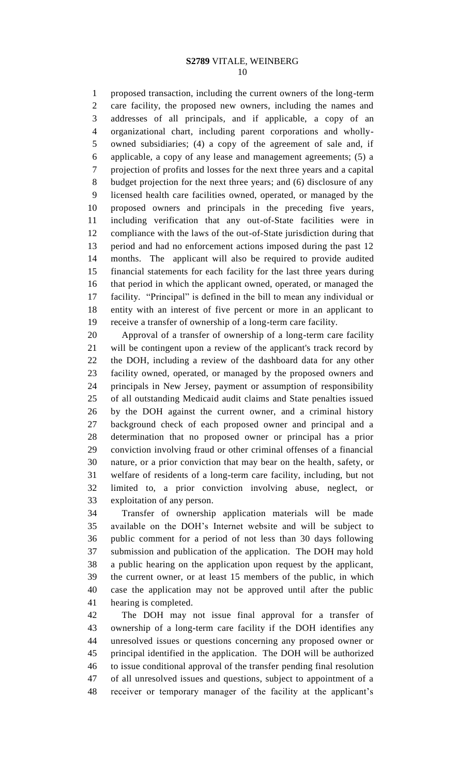#### **S2789** VITALE, WEINBERG

 proposed transaction, including the current owners of the long-term care facility, the proposed new owners, including the names and addresses of all principals, and if applicable, a copy of an organizational chart, including parent corporations and wholly- owned subsidiaries; (4) a copy of the agreement of sale and, if applicable, a copy of any lease and management agreements; (5) a projection of profits and losses for the next three years and a capital budget projection for the next three years; and (6) disclosure of any licensed health care facilities owned, operated, or managed by the proposed owners and principals in the preceding five years, including verification that any out-of-State facilities were in compliance with the laws of the out-of-State jurisdiction during that period and had no enforcement actions imposed during the past 12 months. The applicant will also be required to provide audited financial statements for each facility for the last three years during that period in which the applicant owned, operated, or managed the facility. "Principal" is defined in the bill to mean any individual or entity with an interest of five percent or more in an applicant to receive a transfer of ownership of a long-term care facility.

 Approval of a transfer of ownership of a long-term care facility will be contingent upon a review of the applicant's track record by the DOH, including a review of the dashboard data for any other facility owned, operated, or managed by the proposed owners and principals in New Jersey, payment or assumption of responsibility of all outstanding Medicaid audit claims and State penalties issued by the DOH against the current owner, and a criminal history background check of each proposed owner and principal and a determination that no proposed owner or principal has a prior conviction involving fraud or other criminal offenses of a financial nature, or a prior conviction that may bear on the health, safety, or welfare of residents of a long-term care facility, including, but not limited to, a prior conviction involving abuse, neglect, or exploitation of any person.

 Transfer of ownership application materials will be made available on the DOH's Internet website and will be subject to public comment for a period of not less than 30 days following submission and publication of the application. The DOH may hold a public hearing on the application upon request by the applicant, the current owner, or at least 15 members of the public, in which case the application may not be approved until after the public hearing is completed.

 The DOH may not issue final approval for a transfer of ownership of a long-term care facility if the DOH identifies any unresolved issues or questions concerning any proposed owner or principal identified in the application. The DOH will be authorized to issue conditional approval of the transfer pending final resolution of all unresolved issues and questions, subject to appointment of a receiver or temporary manager of the facility at the applicant's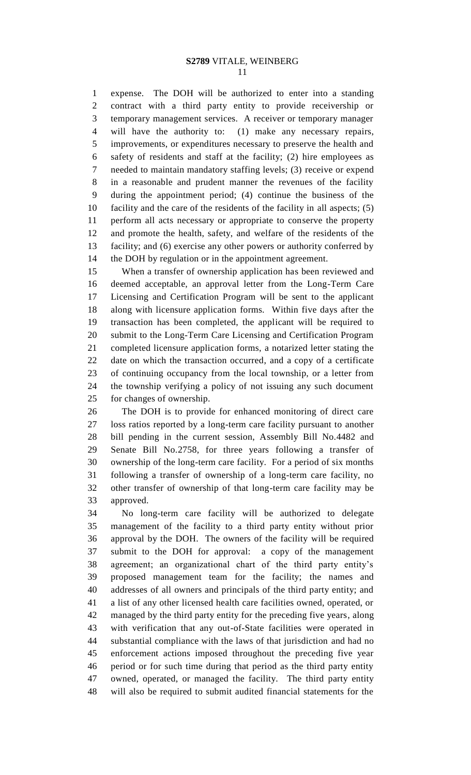expense. The DOH will be authorized to enter into a standing contract with a third party entity to provide receivership or temporary management services. A receiver or temporary manager will have the authority to: (1) make any necessary repairs, improvements, or expenditures necessary to preserve the health and safety of residents and staff at the facility; (2) hire employees as needed to maintain mandatory staffing levels; (3) receive or expend in a reasonable and prudent manner the revenues of the facility during the appointment period; (4) continue the business of the facility and the care of the residents of the facility in all aspects; (5) perform all acts necessary or appropriate to conserve the property and promote the health, safety, and welfare of the residents of the facility; and (6) exercise any other powers or authority conferred by the DOH by regulation or in the appointment agreement.

 When a transfer of ownership application has been reviewed and deemed acceptable, an approval letter from the Long-Term Care Licensing and Certification Program will be sent to the applicant along with licensure application forms. Within five days after the transaction has been completed, the applicant will be required to submit to the Long-Term Care Licensing and Certification Program completed licensure application forms, a notarized letter stating the date on which the transaction occurred, and a copy of a certificate of continuing occupancy from the local township, or a letter from the township verifying a policy of not issuing any such document for changes of ownership.

 The DOH is to provide for enhanced monitoring of direct care loss ratios reported by a long-term care facility pursuant to another bill pending in the current session, Assembly Bill No.4482 and Senate Bill No.2758, for three years following a transfer of ownership of the long-term care facility. For a period of six months following a transfer of ownership of a long-term care facility, no other transfer of ownership of that long-term care facility may be approved.

 No long-term care facility will be authorized to delegate management of the facility to a third party entity without prior approval by the DOH. The owners of the facility will be required submit to the DOH for approval: a copy of the management agreement; an organizational chart of the third party entity's proposed management team for the facility; the names and addresses of all owners and principals of the third party entity; and a list of any other licensed health care facilities owned, operated, or managed by the third party entity for the preceding five years, along with verification that any out-of-State facilities were operated in substantial compliance with the laws of that jurisdiction and had no enforcement actions imposed throughout the preceding five year period or for such time during that period as the third party entity owned, operated, or managed the facility. The third party entity will also be required to submit audited financial statements for the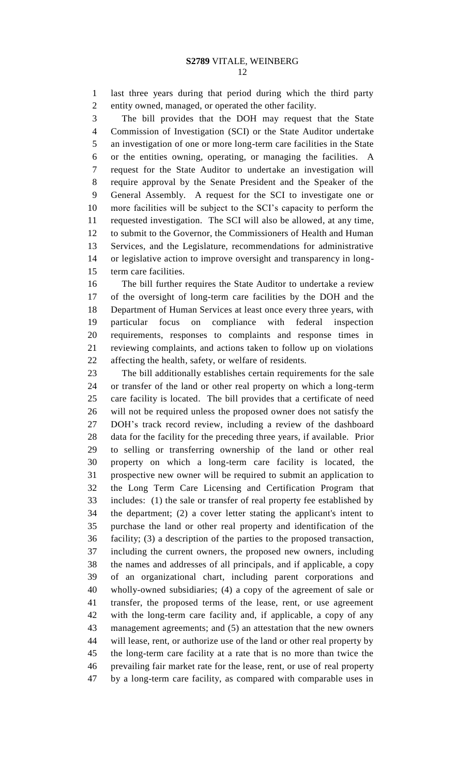last three years during that period during which the third party entity owned, managed, or operated the other facility.

 The bill provides that the DOH may request that the State Commission of Investigation (SCI) or the State Auditor undertake an investigation of one or more long-term care facilities in the State or the entities owning, operating, or managing the facilities. A request for the State Auditor to undertake an investigation will require approval by the Senate President and the Speaker of the General Assembly. A request for the SCI to investigate one or more facilities will be subject to the SCI's capacity to perform the requested investigation. The SCI will also be allowed, at any time, to submit to the Governor, the Commissioners of Health and Human Services, and the Legislature, recommendations for administrative or legislative action to improve oversight and transparency in long-term care facilities.

 The bill further requires the State Auditor to undertake a review of the oversight of long-term care facilities by the DOH and the Department of Human Services at least once every three years, with particular focus on compliance with federal inspection requirements, responses to complaints and response times in reviewing complaints, and actions taken to follow up on violations affecting the health, safety, or welfare of residents.

 The bill additionally establishes certain requirements for the sale or transfer of the land or other real property on which a long-term care facility is located. The bill provides that a certificate of need will not be required unless the proposed owner does not satisfy the DOH's track record review, including a review of the dashboard data for the facility for the preceding three years, if available. Prior to selling or transferring ownership of the land or other real property on which a long-term care facility is located, the prospective new owner will be required to submit an application to the Long Term Care Licensing and Certification Program that includes: (1) the sale or transfer of real property fee established by the department; (2) a cover letter stating the applicant's intent to purchase the land or other real property and identification of the facility; (3) a description of the parties to the proposed transaction, including the current owners, the proposed new owners, including the names and addresses of all principals, and if applicable, a copy of an organizational chart, including parent corporations and wholly-owned subsidiaries; (4) a copy of the agreement of sale or transfer, the proposed terms of the lease, rent, or use agreement with the long-term care facility and, if applicable, a copy of any management agreements; and (5) an attestation that the new owners will lease, rent, or authorize use of the land or other real property by the long-term care facility at a rate that is no more than twice the prevailing fair market rate for the lease, rent, or use of real property by a long-term care facility, as compared with comparable uses in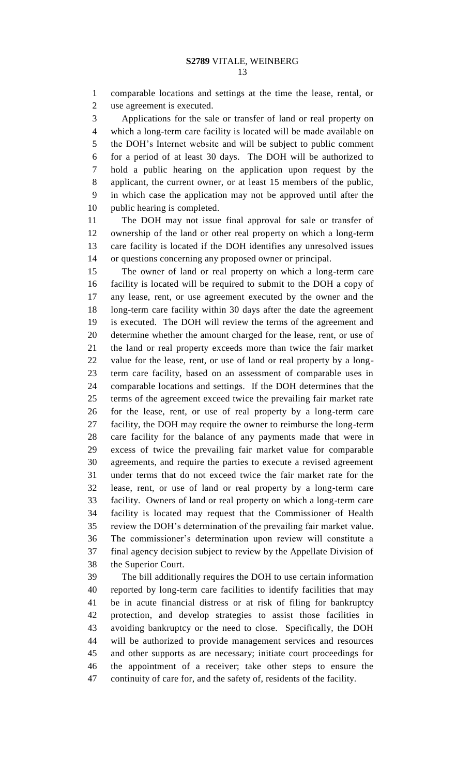comparable locations and settings at the time the lease, rental, or use agreement is executed.

 Applications for the sale or transfer of land or real property on which a long-term care facility is located will be made available on the DOH's Internet website and will be subject to public comment for a period of at least 30 days. The DOH will be authorized to hold a public hearing on the application upon request by the applicant, the current owner, or at least 15 members of the public, in which case the application may not be approved until after the public hearing is completed.

 The DOH may not issue final approval for sale or transfer of ownership of the land or other real property on which a long-term care facility is located if the DOH identifies any unresolved issues or questions concerning any proposed owner or principal.

 The owner of land or real property on which a long-term care facility is located will be required to submit to the DOH a copy of any lease, rent, or use agreement executed by the owner and the long-term care facility within 30 days after the date the agreement is executed. The DOH will review the terms of the agreement and determine whether the amount charged for the lease, rent, or use of the land or real property exceeds more than twice the fair market value for the lease, rent, or use of land or real property by a long- term care facility, based on an assessment of comparable uses in comparable locations and settings. If the DOH determines that the terms of the agreement exceed twice the prevailing fair market rate for the lease, rent, or use of real property by a long-term care facility, the DOH may require the owner to reimburse the long-term care facility for the balance of any payments made that were in excess of twice the prevailing fair market value for comparable agreements, and require the parties to execute a revised agreement under terms that do not exceed twice the fair market rate for the lease, rent, or use of land or real property by a long-term care facility. Owners of land or real property on which a long-term care facility is located may request that the Commissioner of Health review the DOH's determination of the prevailing fair market value. The commissioner's determination upon review will constitute a final agency decision subject to review by the Appellate Division of the Superior Court.

 The bill additionally requires the DOH to use certain information reported by long-term care facilities to identify facilities that may be in acute financial distress or at risk of filing for bankruptcy protection, and develop strategies to assist those facilities in avoiding bankruptcy or the need to close. Specifically, the DOH will be authorized to provide management services and resources and other supports as are necessary; initiate court proceedings for the appointment of a receiver; take other steps to ensure the continuity of care for, and the safety of, residents of the facility.